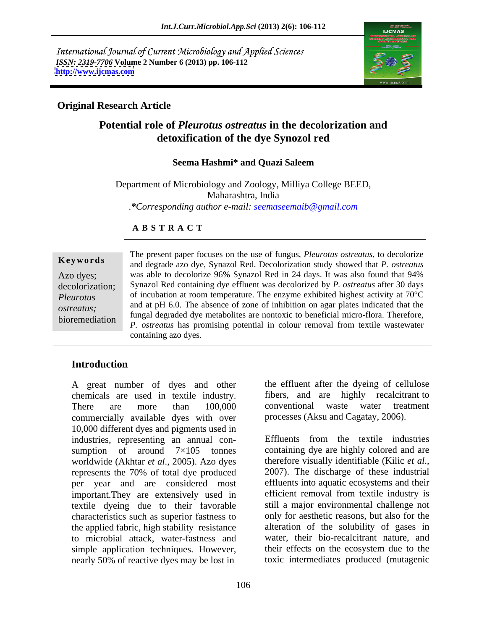International Journal of Current Microbiology and Applied Sciences *ISSN: 2319-7706* **Volume 2 Number 6 (2013) pp. 106-112 <http://www.ijcmas.com>**



## **Original Research Article**

## **Potential role of** *Pleurotus ostreatus* **in the decolorization and detoxification of the dye Synozol red**

## **Seema Hashmi\* and Quazi Saleem**

Department of Microbiology and Zoology, Milliya College BEED, Maharashtra, India .*\*Corresponding author e-mail: seemaseemaib@gmail.com*

## **A B S T R A C T**

**Ke ywo rds** and degrade azo dye, Synazol Red. Decolorization study showed that *P. ostreatus* Azo dyes; was able to decolorize 96% Synazol Red in 24 days. It was also found that 94% decolorization; Synazol Red containing dye effluent was decolorized by *P. ostreatus* after 30 days *Pleurotus* of incubation at room temperature. The enzyme exhibited highest activity at 70°C *ostreatus;* and at pH 6.0. The absence of zone of inhibition on agar plates indicated that the bioremediation<br>*P. ostreatus* has promising potential in colour removal from textile wastewater The present paper focuses on the use of fungus, *Pleurotus ostreatus*, to decolorize fungal degraded dye metabolites are nontoxic to beneficial micro-flora. Therefore, containing azo dyes.

## **Introduction**

A great number of dyes and other chemicals are used in textile industry. There are more than 100,000 conventional waste water treatment commercially available dyes with over 10,000 different dyes and pigments used in industries, representing an annual con-<br>Effluents from the textile industries sumption of around  $7\times105$  tonnes containing dye are highly colored and are worldwide (Akhtar *et al.*, 2005). Azo dyes therefore visually identifiable (Kilic *et al.*, represents the 70% of total dye produced 2007). The discharge of these industrial represents the 70% of total dye produced per year and are considered most important.They are extensively used in textile dyeing due to their favorable characteristics such as superior fastness to the applied fabric, high stability resistance to microbial attack, water-fastness and simple application techniques. However, nearly 50% of reactive dyes may be lost in

the effluent after the dyeing of cellulose fibers, and are highly recalcitrant to conventional waste water treatment processes (Aksu and Cagatay, 2006).

Effluents from the textile industries therefore visually identifiable (Kilic *et al*., 2007). The discharge of these industrial effluents into aquatic ecosystems and their efficient removal from textile industry is still a major environmental challenge not only for aesthetic reasons, but also for the alteration of the solubility of gases in water, their bio-recalcitrant nature, and their effects on the ecosystem due to the toxic intermediates produced (mutagenic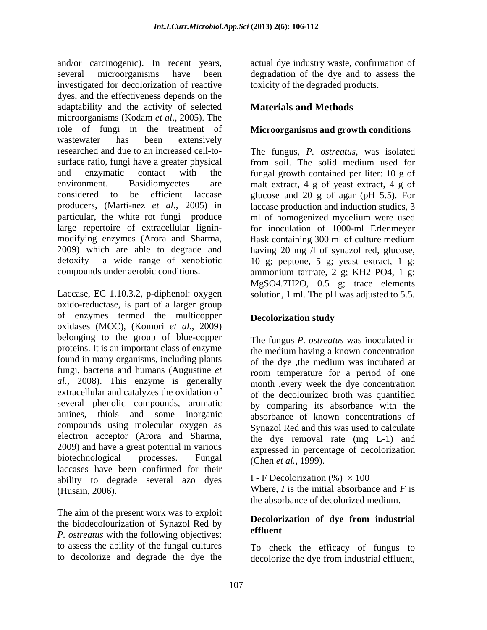and/or carcinogenic). In recent years, actual dye industry waste, confirmation of several microorganisms have been degradation of the dye and to assess the investigated for decolorization of reactive dyes, and the effectiveness depends on the adaptability and the activity of selected **Materials and Methods** microorganisms (Kodam *et al*., 2005). The role of fungi in the treatment of **Microorganisms and growth conditions**  wastewater has been extensively researched and due to an increased cell-to- The fungus, *P. ostreatus*, was isolated surface ratio, fungi have a greater physical from soil. The solid medium used for and enzymatic contact with the fungal growth contained per liter: 10 g of environment. Basidiomycetes are malt extract, 4 g of yeast extract, 4 g of considered to be efficient laccase glucose and 20 g of agar (pH 5.5). For producers, (Martí-nez *et al.,* 2005) in laccase production and induction studies, 3 particular, the white rot fungi produce ml of homogenized mycelium were used large repertoire of extracellular lignin- for inoculation of 1000-ml Erlenmeyer modifying enzymes (Arora and Sharma, flask containing 300 ml of culture medium 2009) which are able to degrade and having 20 mg /l of synazol red, glucose, detoxify a wide range of xenobiotic 10 g; peptone, 5 g; yeast extract, 1 g;

Laccase, EC 1.10.3.2, p-diphenol: oxygen solution, 1 ml. The pH was adjusted to 5.5. oxido-reductase, is part of a larger group of enzymes termed the multicopper oxidases (MOC), (Komori *et al*., 2009) belonging to the group of blue-copper proteins. It is an important class of enzyme found in many organisms, including plants fungi, bacteria and humans (Augustine *et al*., 2008). This enzyme is generally extracellular and catalyzes the oxidation of of the decolourized broth was quantified several phenolic compounds, aromatic amines, thiols and some inorganic compounds using molecular oxygen as electron acceptor (Arora and Sharma, 2009) and have a great potential in various biotechnological processes. Fungal  $(\text{Chen et al. 1999})$ laccases have been confirmed for their ability to degrade several azo dyes (Husain, 2006). Where, *I* is the initial absorbance and *F* is

The aim of the present work was to exploit the biodecolourization of Synazol Red by **Decolor** *P. ostreatus* with the following objectives: to assess the ability of the fungal cultures To check the efficacy of fungus to

actual dye industry waste, confirmation of degradation of the dye and to assess the toxicity of the degraded products.

## **Materials and Methods**

compounds under aerobic conditions. ammonium tartrate, 2 g; KH2 PO4, 1 g; MgSO4.7H2O, 0.5 g; trace elements

## **Decolorization study**

The fungus *P. ostreatus* was inoculated in the medium having a known concentration of the dye ,the medium was incubated at room temperature for a period of one month ,every week the dye concentration by comparing its absorbance with the absorbance of known concentrations of Synazol Red and this was used to calculate the dye removal rate (mg L-1) and expressed in percentage of decolorization (Chen *et al.,* 1999).

I - F Decolorization  $(\% ) \times 100$ the absorbance of decolorized medium.

## **Decolorization of dye from industrial effluent**

to decolorize and degrade the dye the decolorize the dye from industrial effluent,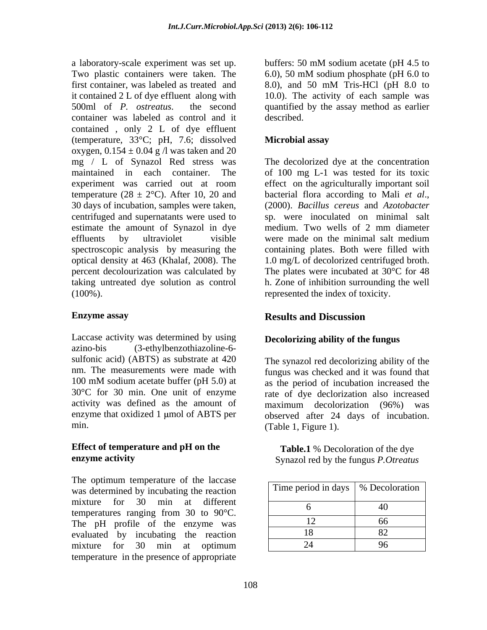Two plastic containers were taken. The  $6.0$ , 50 mM sodium phosphate (pH 6.0 to first container, was labeled as treated and 8.0), and 50 mM Tris-HCl (pH 8.0 to it contained 2 L of dye effluent along with 10.0). The activity of each sample was 500ml of *P. ostreatus*. the second quantified by the assay method as earlier container was labeled as control and it contained, only  $2 L of dye$  effluent (temperature, 33°C; pH, 7.6; dissolved oxygen,  $0.154 \pm 0.04$  g /l was taken and 20 mg / L of Synazol Red stress was maintained in each container. The of 100 mg L-1 was tested for its toxic experiment was carried out at room effect on the agriculturally important soil temperature (28  $\pm$  2°C). After 10, 20 and bacterial flora according to Mali *et al.*, 30 days of incubation, samples were taken, (2000). Bacillus cereus and Azotobacter centrifuged and supernatants were used to estimate the amount of Synazol in dye medium. Two wells of 2 mm diameter effluents by ultraviolet visible were made on the minimal salt medium spectroscopic analysis by measuring the containing plates. Both were filled with optical density at 463 (Khalaf, 2008). The 1.0 mg/L of decolorized centrifuged broth. percent decolourization was calculated by The plates were incubated at 30°C for 48 taking untreated dye solution as control h. Zone of inhibition surrounding the well

Laccase activity was determined by using azino-bis (3-ethylbenzothiazoline-6 sulfonic acid) (ABTS) as substrate at 420 nm. The measurements were made with fungus was checked and it was found that 100 mM sodium acetate buffer (pH 5.0) at as the period of incubation increased the 30°C for 30 min. One unit of enzyme rate of dye declorization also increased activity was defined as the amount of maximum decolorization (96%) was enzyme that oxidized  $1 \mu$ mol of ABTS per

# **Effect of temperature and pH on the**

The optimum temperature of the laccase was determined by incubating the reaction mixture for 30 min at different temperatures ranging from 30 to 90°C. The pH profile of the enzyme was evaluated by incubating the reaction mixture for 30 min at optimum  $\vert$  24  $\vert$  96  $\vert$ temperature in the presence of appropriate

a laboratory-scale experiment was set up. buffers: 50 mM sodium acetate (pH 4.5 to buffers: 50 mM sodium acetate (pH 4.5 to 6.0), 50 mM sodium phosphate (pH 6.0 to 8.0), and 50 mM Tris-HCl (pH 8.0 to described.

## **Microbial assay**

(100%). represented the index of toxicity. The decolorized dye at the concentration bacterial flora according to Mali *et al*., (2000). *Bacillus cereus* and *Azotobacter* sp. were inoculated on minimal salt were made on the minimal salt medium

### **Enzyme assay Enzyme assay Results and Discussion Results and Discussion**

## **Decolorizing ability of the fungus**

min. (Table 1, Figure 1). The synazol red decolorizing ability of the as the period of incubation increased the maximum decolorization (96%) was observed after 24 days of incubation.

**enzyme activity**  Synazol red by the fungus *P.Otreatus* **Table.1** % Decoloration of the dye

| Time period in days   % Decoloration |  |
|--------------------------------------|--|
|                                      |  |
|                                      |  |
|                                      |  |
|                                      |  |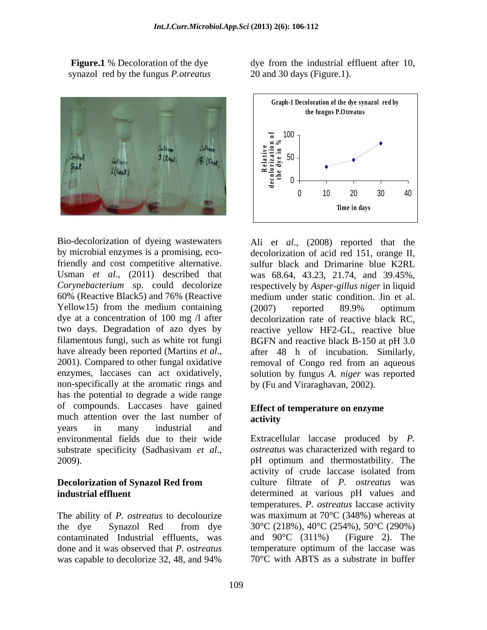synazol red by the fungus *P.otreatus*



Bio-decolorization of dyeing wastewaters Ali e*t al*., (2008) reported that the by microbial enzymes is a promising, eco-decolorization of acid red 151, orange II, friendly and cost competitive alternative. sulfur black and Drimarine blue K2RL Usman *et al*., (2011) described that *Corynebacterium* sp. could decolorize respectively by *Asper-gillus niger* in liquid 60% (Reactive Black5) and 76% (Reactive medium under static condition. Jin et al. Yellow15) from the medium containing (2007) reported 89.9% optimum dye at a concentration of 100 mg /l after two days. Degradation of azo dyes by reactive yellow HF2-GL, reactive blue filamentous fungi, such as white rot fungi BGFN and reactive black B-150 at pH 3.0 have already been reported (Martins *et al.*, after 48 h of incubation. Similarly, 2001). Compared to other fungal oxidative removal of Congo red from an aqueous enzymes, laccases can act oxidatively, solution by fungus *A. niger* was reported non-specifically at the aromatic rings and has the potential to degrade a wide range of compounds. Laccases have gained much attention over the last number of **activity** years in many industrial and environmental fields due to their wide Extracellular laccase produced by *P.* 

The ability of *P. ostreatus* to decolourize contaminated Industrial effluents, was and  $90^{\circ}$ C (311%) (Figure 2). The done and it was observed that *P. ostreatus* was capable to decolorize 32, 48, and 94%  $70^{\circ}$ C with ABTS as a substrate in buffer

**Figure.1** % Decoloration of the dye dye from the industrial effluent after 10, 20 and 30 days (Figure.1).



was 68.64, 43.23, 21.74, and 39.45%, (2007) reported 89.9% optimum decolorization rate of reactive black RC, after 48 h of incubation. Similarly, removal of Congo red from an aqueous by (Fu and Viraraghavan, 2002).

## **Effect of temperature on enzyme activity**

substrate specificity (Sadhasivam *et al.*, ostreatus was characterized with regard to pH optimum and thermostatbility. The **Decolorization of Synazol Red from**  culture filtrate of *P. ostreatus* was **industrial effluent**  determined at various pH values and the dye Synazol Red from dye  $30^{\circ}$ C (218%),  $40^{\circ}$ C (254%),  $50^{\circ}$ C (290%) *ostreatus* was characterized with regard to pH optimum and thermostatbility. The activity of crude laccase isolated from temperatures. *P. ostreatus* laccase activity was maximum at 70°C (348%) whereas at 30°C (218%), 40°C (254%), 50°C (290%) and 90°C (311%) (Figure 2). The temperature optimum of the laccase was 70°C with ABTS as a substrate in buffer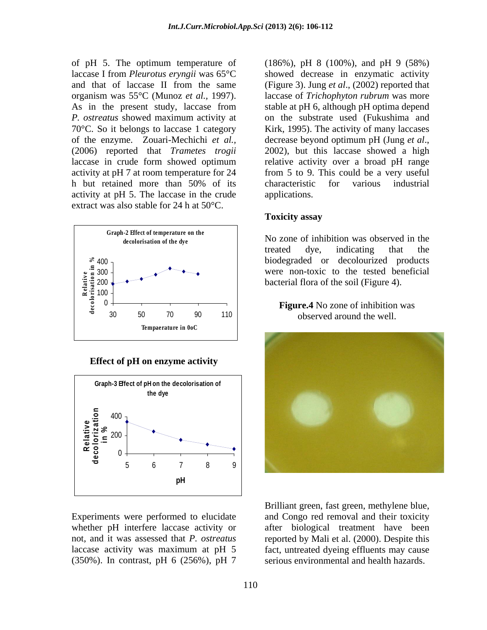As in the present study, laccase from of the enzyme. Zouari-Mechichi *et al.,* (2006) reported that *Trametes trogii* activity at pH 5. The laccase in the crude extract was also stable for 24 h at 50°C.



**Effect of pH on enzyme activity**



(350%). In contrast, pH 6 (256%), pH 7

of pH 5. The optimum temperature of (186%), pH 8 (100%), and pH 9 (58%) laccase I from *Pleurotus eryngii* was 65°C showed decrease in enzymatic activity and that of laccase II from the same (Figure 3). Jung *et al*., (2002) reported that organism was 55°C (Munoz *et al.,* 1997). laccase of *Trichophyton rubrum* was more *P. ostreatus* showed maximum activity at on the substrate used (Fukushima and 70°C. So it belongs to laccase 1 category Kirk, 1995). The activity ofmany laccases laccase in crude form showed optimum a relative activity over a broad pH range activity at pH 7 at room temperature for 24 from 5 to 9. This could be a very useful h but retained more than 50% of its stable at pH 6, although pH optima depend decrease beyond optimum pH (Jung *et al*., 2002), but this laccase showed <sup>a</sup> high characteristic for various industrial applications.

## **Toxicity assay**

decolorisation of the dye **of the subset of the subset of the subset of the dye of the subset of the dye of the subset of the dye of the subset of the dye of the dye of the dye of the subset of the dye of the dye of the dy** 200 300 were non-toxic to the tested beneficial 400 biodegraded or decolourized products No zone of inhibition was observed in the treated dye, indicating that the





Experiments were performed to elucidate and Congo red removal and their toxicity whether pH interfere laccase activity or after biological treatment have been not, and it was assessed that *P. ostreatus* reported by Mali et al. (2000). Despite this laccase activity was maximum at pH 5 fact, untreated dyeing effluents may cause serious environmental and health hazards.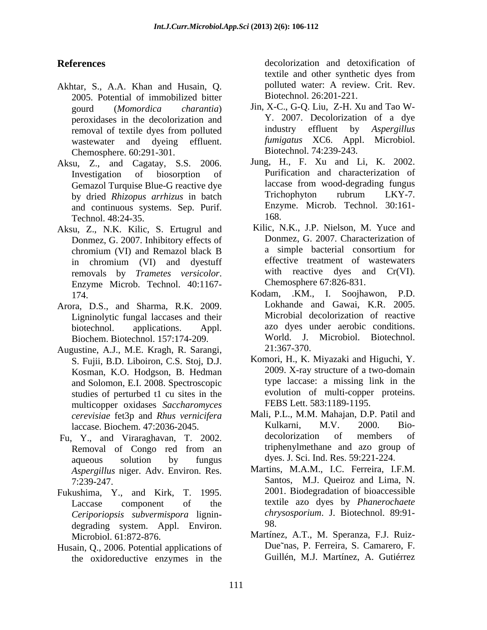- Akhtar, S., A.A. Khan and Husain, Q. 2005. Potential of immobilized bitter Chemosphere. 60:291-301.
- Aksu, Z., and Cagatay, S.S. 2006. by dried *Rhizopus arrhizus* in batch and continuous systems. Sep. Purif.  $\frac{Enzy}{168}$ Technol. 48:24-35.
- Aksu, Z., N.K. Kilic, S. Ertugrul and removals by *Trametes versicolor*. With reactive dyes and Cr(VI).<br>Enzyme Microb. Technol. 40:1167- Chemosphere 67:826-831.
- Arora, D.S., and Sharma, R.K. 2009. Ligninolytic fungal laccases and their Biochem. Biotechnol. 157:174-209.
- Augustine, A.J., M.E. Kragh, R. Sarangi, 21:367-370.<br>
S. Fujii, B.D. Liboiron, C.S. Stoj, D.J. Komori, H., K. Miyazaki and Higuchi, Y. Kosman K.O. Hodoson, B. Hedman 2009. X-ray structure of a two-domain Kosman, K.O. Hodgson, B. Hedman and Solomon, E.I. 2008. Spectroscopic studies of perturbed t1 cu sites in the multicopper oxidases *Saccharomyces*
- aqueous solution by fungus dyes. J. Sci. Ind. Res. 59:221-224. *Aspergillus* niger. Adv. Environ. Res.
- Fukushima, Y., and Kirk, T. 1995. *Ceriporiopsis subvermispora* lignin degrading system. Appl. Environ.
- Husain, Q., 2006. Potential applications of the oxidoreductive enzymes in the

**References** decolorization and detoxification of textile and other synthetic dyes from polluted water: A review. Crit. Rev. Biotechnol. 26:201-221.

- gourd (*Momordica charantia*) Jin, X-C., G-Q. Liu, Z-H. Xu and Tao W peroxidases in the decolorization and T. 2007. Decolorization of a dye<br>removal of textile dyes from polluted industry effluent by Aspergillus removal of textile dyes from polluted industry effluent by Aspergillus wastewater and dyeing effluent. *fumigatus* XC6. Appl. Microbiol. Y. 2007. Decolorization of a dye industry effluent by *Aspergillus*  Biotechnol. 74:239-243.
- Investigation of biosorption of Purification and characterization of Gemazol Turquise Blue-G reactive dye laccase from wood-degrading fungus<br>by dried Rhizonus arrhizus in batch and Trichophyton rubrum LKY-7. Jung, H., F. Xu and Li, K. 2002. laccase from wood-degrading fungus Trichophyton rubrum LKY-7. Enzyme. Microb. Technol. 30:161- 168.
- Donmez, G. 2007. Inhibitory effects of Donmez, G. 2007. Characterization of chromium (VI) and Remazol black B a simple bacterial consortium for chromium (VI) and Remazol black B in chromium (VI) and dyestuff Kilic, N.K., J.P. Nielson, M. Yuce and Donmez, G. 2007. Characterization of a simple bacterial consortium for effective treatment of wastewaters with reactive dyes and Cr(VI). Chemosphere 67:826-831.
- 174. Kodam, .KM., I. Soojhawon, P.D. biotechnol. applications. Appl. azo dyes under aerobic conditions. Lokhande and Gawai, K.R. 2005. Microbial decolorization of reactive World. J. Microbiol. Biotechnol. 21:367-370.
	- Komori, H., K. Miyazaki and Higuchi, Y. 2009. X-ray structure of <sup>a</sup> two-domain type laccase: a missing link in the evolution of multi-copper proteins. FEBS Lett. 583:1189-1195.
- *cerevisiae* fet3p and *Rhus vernicifera* Mali, P.L., M.M. Mahajan, D.P. Patil and <br>laccase Biochem 47:2036-2045 Kulkarni, M.V. 2000. Biolaccase. Biochem. 47:2036-2045. Fu, Y., and Viraraghavan, T. 2002. decolorization of members of Removal of Congo red from an triphenylmethane and azo group of Mali, P.L., M.M. Mahajan, D.P. Patil and Kulkarni, M.V. 2000. Bio decolorization of members of triphenylmethane and azo group of
	- 7:239-247. Santos, M.J. Queiroz and Lima, N.<br>
	1995 2001. Biodegradation of bioaccessible Laccase component of the textile azo dyes by *Phanerochaete* Martins, M.A.M., I.C. Ferreira, I.F.M. Santos, M.J. Queiroz and Lima, N. 2001. Biodegradation of bioaccessible *chrysosporium*. J. Biotechnol. 89:91- 98.
	- Microbiol. 61:872-876. Martínez, A.T., M. Speranza, F.J. Ruiz- Due nas, P. Ferreira, S. Camarero, F. Guillén, M.J. Martínez, A. Gutiérrez